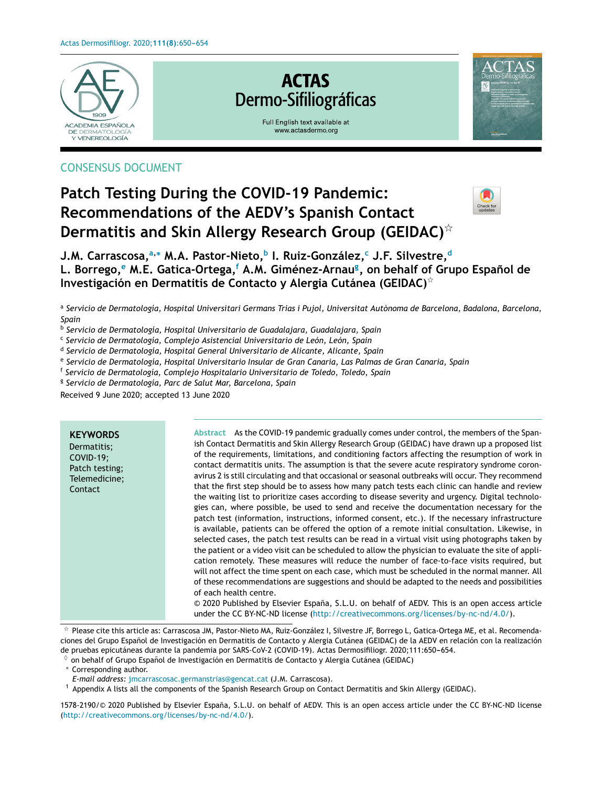

## CONSENSUS DOCUMENT

# **Patch Testing During the COVID-19 Pandemic: Recommendations of the AEDV's Spanish Contact Dermatitis and Skin Allergy Research Group (GEIDAC)**-



**J.M. Carrascosa,<sup>a</sup>**,<sup>∗</sup> **M.A. Pastor-Nieto,<sup>b</sup> I. Ruiz-González,<sup>c</sup> J.F. Silvestre,<sup>d</sup> L. Borrego,<sup>e</sup> M.E. Gatica-Ortega,<sup>f</sup> A.M. Giménez-Arnau<sup>g</sup> , on behalf of Grupo Espanol de ˜ Investigación en Dermatitis de Contacto y Alergia Cutánea (GEIDAC)**-

a *Servicio de Dermatología, Hospital Universitari Germans Trias i Pujol, Universitat Autònoma de Barcelona, Badalona, Barcelona, Spain*

b *Servicio de Dermatología, Hospital Universitario de Guadalajara, Guadalajara, Spain*

c *Servicio de Dermatología, Complejo Asistencial Universitario de León, León, Spain*

d *Servicio de Dermatología, Hospital General Universitario de Alicante, Alicante, Spain*

e *Servicio de Dermatología, Hospital Universitario Insular de Gran Canaria, Las Palmas de Gran Canaria, Spain*

f *Servicio de Dermatología, Complejo Hospitalario Universitario de Toledo, Toledo, Spain*

g *Servicio de Dermatología, Parc de Salut Mar, Barcelona, Spain*

Received 9 June 2020; accepted 13 June 2020

| <b>KEYWORDS</b><br>Dermatitis;<br><b>COVID-19;</b><br>Patch testing;<br>Telemedicine;<br>Contact | Abstract As the COVID-19 pandemic gradually comes under control, the members of the Span-<br>ish Contact Dermatitis and Skin Allergy Research Group (GEIDAC) have drawn up a proposed list<br>of the requirements, limitations, and conditioning factors affecting the resumption of work in<br>contact dermatitis units. The assumption is that the severe acute respiratory syndrome coron-<br>avirus 2 is still circulating and that occasional or seasonal outbreaks will occur. They recommend<br>that the first step should be to assess how many patch tests each clinic can handle and review<br>the waiting list to prioritize cases according to disease severity and urgency. Digital technolo-<br>gies can, where possible, be used to send and receive the documentation necessary for the<br>patch test (information, instructions, informed consent, etc.). If the necessary infrastructure<br>is available, patients can be offered the option of a remote initial consultation. Likewise, in<br>selected cases, the patch test results can be read in a virtual visit using photographs taken by<br>the patient or a video visit can be scheduled to allow the physician to evaluate the site of appli-<br>cation remotely. These measures will reduce the number of face-to-face visits required, but<br>will not affect the time spent on each case, which must be scheduled in the normal manner. All<br>of these recommendations are suggestions and should be adapted to the needs and possibilities<br>of each health centre.<br>© 2020 Published by Elsevier España, S.L.U. on behalf of AEDV. This is an open access article<br>under the CC BY-NC-ND license (http://creativecommons.org/licenses/by-nc-nd/4.0/). |
|--------------------------------------------------------------------------------------------------|---------------------------------------------------------------------------------------------------------------------------------------------------------------------------------------------------------------------------------------------------------------------------------------------------------------------------------------------------------------------------------------------------------------------------------------------------------------------------------------------------------------------------------------------------------------------------------------------------------------------------------------------------------------------------------------------------------------------------------------------------------------------------------------------------------------------------------------------------------------------------------------------------------------------------------------------------------------------------------------------------------------------------------------------------------------------------------------------------------------------------------------------------------------------------------------------------------------------------------------------------------------------------------------------------------------------------------------------------------------------------------------------------------------------------------------------------------------------------------------------------------------------------------------------------------------------------------------------------------------------------------------------------------------------------------------------------------------------------------------------|

- Please cite this article as: Carrascosa JM, Pastor-Nieto MA, Ruiz-González I, Silvestre JF, Borrego L, Gatica-Ortega ME, et al. Recomendaciones del Grupo Español de Investigación en Dermatitis de Contacto y Alergia Cutánea (GEIDAC) de la AEDV en relación con la realización de pruebas epicutáneas durante la pandemia por SARS-CoV-2 (COVID-19). Actas Dermosifiliogr. 2020;111:650-654.

 $\Diamond$  on behalf of Grupo Español de Investigación en Dermatitis de Contacto y Alergia Cutánea (GEIDAC)

<sup>∗</sup> Corresponding author.

*E-mail address:* [jmcarrascosac.germanstrias@gencat.cat](mailto:jmcarrascosac.germanstrias@gencat.cat) (J.M. Carrascosa).

<sup>1</sup> Appendix A lists all the components of the Spanish Research Group on Contact Dermatitis and Skin Allergy (GEIDAC).

1578-2190/© 2020 Published by Elsevier España, S.L.U. on behalf of AEDV. This is an open access article under the CC BY-NC-ND license (<http://creativecommons.org/licenses/by-nc-nd/4.0/>).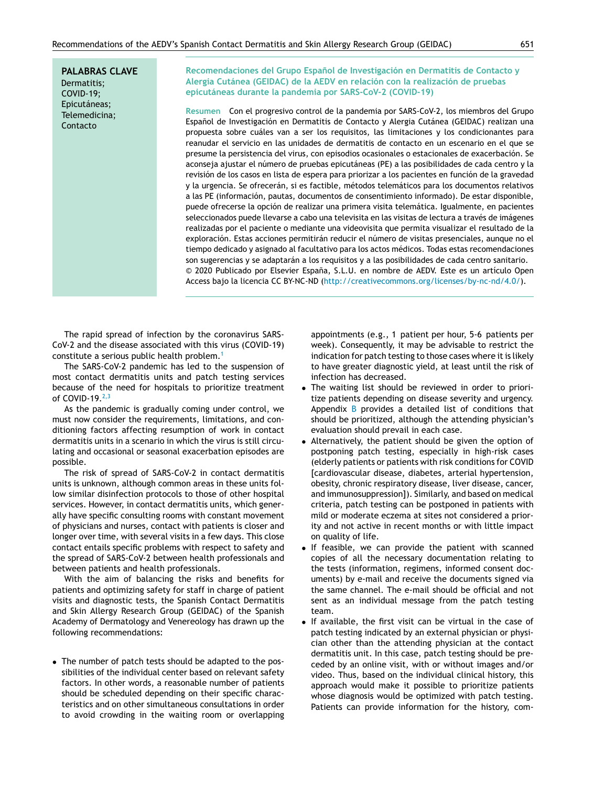**PALABRAS CLAVE** Dermatitis; COVID-19; Epicutáneas; Telemedicina; Contacto

**Recomendaciones del Grupo Espanol de Investigación en Dermatitis de Contacto y ˜ Alergia Cutánea (GEIDAC) de la AEDV en relación con la realización de pruebas epicutáneas durante la pandemia por SARS-CoV-2 (COVID-19)**

**Resumen** Con el progresivo control de la pandemia por SARS-CoV-2, los miembros del Grupo Español de Investigación en Dermatitis de Contacto y Alergia Cutánea (GEIDAC) realizan una propuesta sobre cuáles van a ser los requisitos, las limitaciones y los condicionantes para reanudar el servicio en las unidades de dermatitis de contacto en un escenario en el que se presume la persistencia del virus, con episodios ocasionales o estacionales de exacerbación. Se aconseja ajustar el número de pruebas epicutáneas (PE) a las posibilidades de cada centro y la revisión de los casos en lista de espera para priorizar a los pacientes en función de la gravedad y la urgencia. Se ofrecerán, si es factible, métodos telemáticos para los documentos relativos a las PE (información, pautas, documentos de consentimiento informado). De estar disponible, puede ofrecerse la opción de realizar una primera visita telemática. Igualmente, en pacientes seleccionados puede llevarse a cabo una televisita en las visitas de lectura a través de imágenes realizadas por el paciente o mediante una videovisita que permita visualizar el resultado de la exploración. Estas acciones permitirán reducir el número de visitas presenciales, aunque no el tiempo dedicado y asignado al facultativo para los actos médicos. Todas estas recomendaciones son sugerencias y se adaptarán a los requisitos y a las posibilidades de cada centro sanitario.  $© 2020$  Publicado por Elsevier España, S.L.U. en nombre de AEDV. Este es un artículo Open Access bajo la licencia CC BY-NC-ND [\(http://creativecommons.org/licenses/by-nc-nd/4.0/\)](http://creativecommons.org/licenses/by-nc-nd/4.0/).

The rapid spread of infection by the coronavirus SARS-CoV-2 and the disease associated with this virus (COVID-19) constitute a serious public health problem.[1](#page-4-0)

The SARS-CoV-2 pandemic has led to the suspension of most contact dermatitis units and patch testing services because of the need for hospitals to prioritize treatment of COVID-19. $2,3$ 

As the pandemic is gradually coming under control, we must now consider the requirements, limitations, and conditioning factors affecting resumption of work in contact dermatitis units in a scenario in which the virus is still circulating and occasional or seasonal exacerbation episodes are possible.

The risk of spread of SARS-CoV-2 in contact dermatitis units is unknown, although common areas in these units follow similar disinfection protocols to those of other hospital services. However, in contact dermatitis units, which generally have specific consulting rooms with constant movement of physicians and nurses, contact with patients is closer and longer over time, with several visits in a few days. This close contact entails specific problems with respect to safety and the spread of SARS-CoV-2 between health professionals and between patients and health professionals.

With the aim of balancing the risks and benefits for patients and optimizing safety for staff in charge of patient visits and diagnostic tests, the Spanish Contact Dermatitis and Skin Allergy Research Group (GEIDAC) of the Spanish Academy of Dermatology and Venereology has drawn up the following recommendations:

• The number of patch tests should be adapted to the possibilities of the individual center based on relevant safety factors. In other words, a reasonable number of patients should be scheduled depending on their specific characteristics and on other simultaneous consultations in order to avoid crowding in the waiting room or overlapping

appointments (e.g., 1 patient per hour, 5-6 patients per week). Consequently, it may be advisable to restrict the indication for patch testing to those cases where it is likely to have greater diagnostic yield, at least until the risk of infection has decreased.

- The waiting list should be reviewed in order to prioritize patients depending on disease severity and urgency. Appendix [B](#page-2-0) provides a detailed list of conditions that should be prioritized, although the attending physician's evaluation should prevail in each case.
- Alternatively, the patient should be given the option of postponing patch testing, especially in high-risk cases (elderly patients or patients with risk conditions for COVID [cardiovascular disease, diabetes, arterial hypertension, obesity, chronic respiratory disease, liver disease, cancer, and immunosuppression]). Similarly, and based on medical criteria, patch testing can be postponed in patients with mild or moderate eczema at sites not considered a priority and not active in recent months or with little impact on quality of life.
- If feasible, we can provide the patient with scanned copies of all the necessary documentation relating to the tests (information, regimens, informed consent documents) by e-mail and receive the documents signed via the same channel. The e-mail should be official and not sent as an individual message from the patch testing team.
- If available, the first visit can be virtual in the case of patch testing indicated by an external physician or physician other than the attending physician at the contact dermatitis unit. In this case, patch testing should be preceded by an online visit, with or without images and/or video. Thus, based on the individual clinical history, this approach would make it possible to prioritize patients whose diagnosis would be optimized with patch testing. Patients can provide information for the history, com-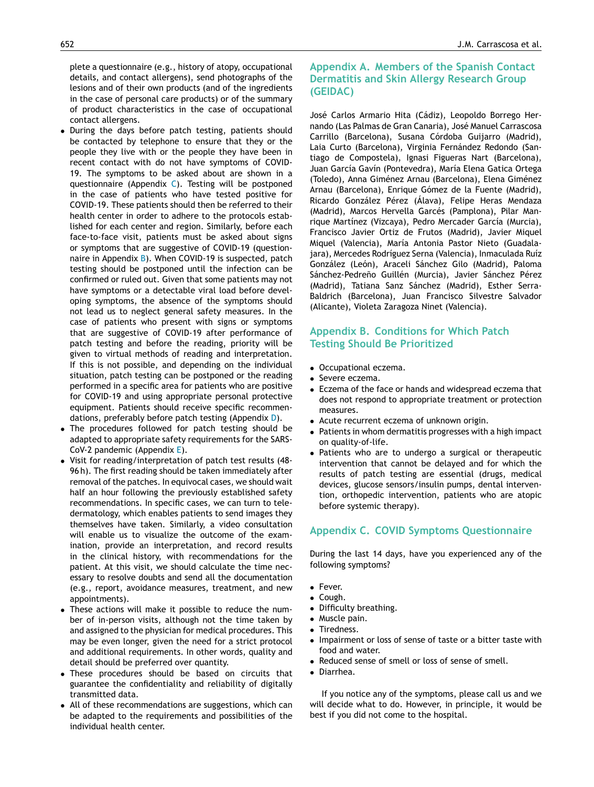<span id="page-2-0"></span>plete a questionnaire (e.g., history of atopy, occupational details, and contact allergens), send photographs of the lesions and of their own products (and of the ingredients in the case of personal care products) or of the summary of product characteristics in the case of occupational contact allergens.

- During the days before patch testing, patients should be contacted by telephone to ensure that they or the people they live with or the people they have been in recent contact with do not have symptoms of COVID-19. The symptoms to be asked about are shown in a questionnaire (Appendix C). Testing will be postponed in the case of patients who have tested positive for COVID-19. These patients should then be referred to their health center in order to adhere to the protocols established for each center and region. Similarly, before each face-to-face visit, patients must be asked about signs or symptoms that are suggestive of COVID-19 (questionnaire in Appendix B). When COVID-19 is suspected, patch testing should be postponed until the infection can be confirmed or ruled out. Given that some patients may not have symptoms or a detectable viral load before developing symptoms, the absence of the symptoms should not lead us to neglect general safety measures. In the case of patients who present with signs or symptoms that are suggestive of COVID-19 after performance of patch testing and before the reading, priority will be given to virtual methods of reading and interpretation. If this is not possible, and depending on the individual situation, patch testing can be postponed or the reading performed in a specific area for patients who are positive for COVID-19 and using appropriate personal protective equipment. Patients should receive specific recommendations, preferably before patch testing (Appendix [D\).](#page-3-0)
- The procedures followed for patch testing should be adapted to appropriate safety requirements for the SARS-CoV-2 pandemic (Appendix [E\).](#page-3-0)
- Visit for reading/interpretation of patch test results (48- 96 h). The first reading should be taken immediately after removal of the patches. In equivocal cases, we should wait half an hour following the previously established safety recommendations. In specific cases, we can turn to teledermatology, which enables patients to send images they themselves have taken. Similarly, a video consultation will enable us to visualize the outcome of the examination, provide an interpretation, and record results in the clinical history, with recommendations for the patient. At this visit, we should calculate the time necessary to resolve doubts and send all the documentation (e.g., report, avoidance measures, treatment, and new appointments).
- These actions will make it possible to reduce the number of in-person visits, although not the time taken by and assigned to the physician for medical procedures. This may be even longer, given the need for a strict protocol and additional requirements. In other words, quality and detail should be preferred over quantity.
- These procedures should be based on circuits that guarantee the confidentiality and reliability of digitally transmitted data.
- All of these recommendations are suggestions, which can be adapted to the requirements and possibilities of the individual health center.

### **Appendix A. Members of the Spanish Contact Dermatitis and Skin Allergy Research Group (GEIDAC)**

José Carlos Armario Hita (Cádiz), Leopoldo Borrego Hernando (Las Palmas de Gran Canaria), José Manuel Carrascosa Carrillo (Barcelona), Susana Córdoba Guijarro (Madrid), Laia Curto (Barcelona), Virginia Fernández Redondo (Santiago de Compostela), Ignasi Figueras Nart (Barcelona), Juan García Gavín (Pontevedra), María Elena Gatica Ortega (Toledo), Anna Giménez Arnau (Barcelona), Elena Giménez Arnau (Barcelona), Enrique Gómez de la Fuente (Madrid), Ricardo González Pérez (Álava), Felipe Heras Mendaza (Madrid), Marcos Hervella Garcés (Pamplona), Pilar Manrique Martínez (Vizcaya), Pedro Mercader García (Murcia), Francisco Javier Ortiz de Frutos (Madrid), Javier Miquel Miquel (Valencia), María Antonia Pastor Nieto (Guadalajara), Mercedes Rodríguez Serna (Valencia), Inmaculada Ruíz González (León), Araceli Sánchez Gilo (Madrid), Paloma Sánchez-Pedreño Guillén (Murcia), Javier Sánchez Pérez (Madrid), Tatiana Sanz Sánchez (Madrid), Esther Serra-Baldrich (Barcelona), Juan Francisco Silvestre Salvador (Alicante), Violeta Zaragoza Ninet (Valencia).

## **Appendix B. Conditions for Which Patch Testing Should Be Prioritized**

- Occupational eczema.
- Severe eczema.
- Eczema of the face or hands and widespread eczema that does not respond to appropriate treatment or protection measures.
- Acute recurrent eczema of unknown origin.
- Patients in whom dermatitis progresses with a high impact on quality-of-life.
- Patients who are to undergo a surgical or therapeutic intervention that cannot be delayed and for which the results of patch testing are essential (drugs, medical devices, glucose sensors/insulin pumps, dental intervention, orthopedic intervention, patients who are atopic before systemic therapy).

#### **Appendix C. COVID Symptoms Questionnaire**

During the last 14 days, have you experienced any of the following symptoms?

- Fever.
- Cough.
- Difficulty breathing.
- Muscle pain.
- Tiredness.
- Impairment or loss of sense of taste or a bitter taste with food and water.
- Reduced sense of smell or loss of sense of smell.
- Diarrhea.

If you notice any of the symptoms, please call us and we will decide what to do. However, in principle, it would be best if you did not come to the hospital.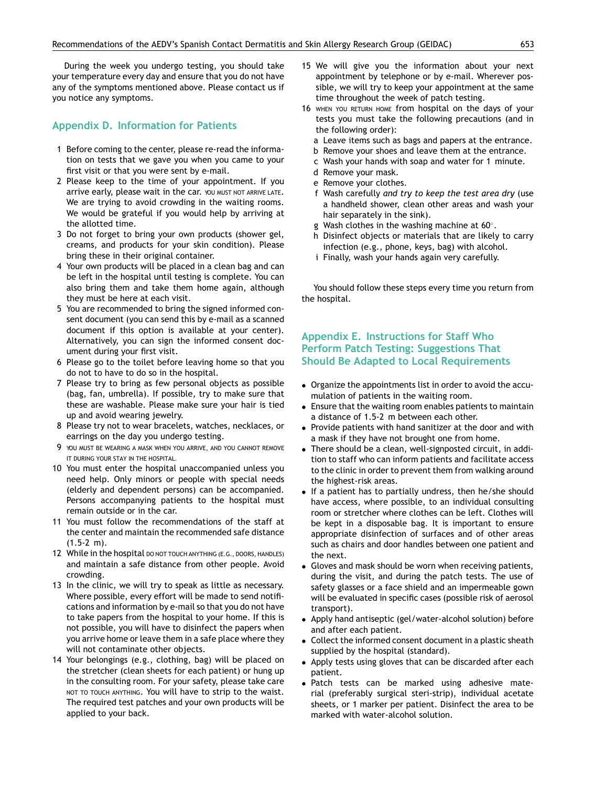<span id="page-3-0"></span>During the week you undergo testing, you should take your temperature every day and ensure that you do not have any of the symptoms mentioned above. Please contact us if you notice any symptoms.

#### **Appendix D. Information for Patients**

- 1 Before coming to the center, please re-read the information on tests that we gave you when you came to your first visit or that you were sent by e-mail.
- 2 Please keep to the time of your appointment. If you arrive early, please wait in the car. YOU MUST NOT ARRIVE LATE. We are trying to avoid crowding in the waiting rooms. We would be grateful if you would help by arriving at the allotted time.
- 3 Do not forget to bring your own products (shower gel, creams, and products for your skin condition). Please bring these in their original container.
- 4 Your own products will be placed in a clean bag and can be left in the hospital until testing is complete. You can also bring them and take them home again, although they must be here at each visit.
- 5 You are recommended to bring the signed informed consent document (you can send this by e-mail as a scanned document if this option is available at your center). Alternatively, you can sign the informed consent document during your first visit.
- 6 Please go to the toilet before leaving home so that you do not to have to do so in the hospital.
- 7 Please try to bring as few personal objects as possible (bag, fan, umbrella). If possible, try to make sure that these are washable. Please make sure your hair is tied up and avoid wearing jewelry.
- 8 Please try not to wear bracelets, watches, necklaces, or earrings on the day you undergo testing.
- 9 You must be wearing a mask when you arrive, and you cannot remove it during your stay in the hospital.
- 10 You must enter the hospital unaccompanied unless you need help. Only minors or people with special needs (elderly and dependent persons) can be accompanied. Persons accompanying patients to the hospital must remain outside or in the car.
- 11 You must follow the recommendations of the staff at the center and maintain the recommended safe distance  $(1.5-2$  m).
- 12 While in the hospital do not touch ANYTHING (E.G., DOORS, HANDLES) and maintain a safe distance from other people. Avoid crowding.
- 13 In the clinic, we will try to speak as little as necessary. Where possible, every effort will be made to send notifications and information by e-mail so that you do not have to take papers from the hospital to your home. If this is not possible, you will have to disinfect the papers when you arrive home or leave them in a safe place where they will not contaminate other objects.
- 14 Your belongings (e.g., clothing, bag) will be placed on the stretcher (clean sheets for each patient) or hung up in the consulting room. For your safety, please take care not to touch anything. You will have to strip to the waist. The required test patches and your own products will be applied to your back.
- 15 We will give you the information about your next appointment by telephone or by e-mail. Wherever possible, we will try to keep your appointment at the same time throughout the week of patch testing.
- 16 WHEN YOU RETURN HOME from hospital on the days of your tests you must take the following precautions (and in the following order):
	- a Leave items such as bags and papers at the entrance.
	- b Remove your shoes and leave them at the entrance.
	- c Wash your hands with soap and water for 1 minute.
	- d Remove your mask.
	- e Remove your clothes.
	- f Wash carefully *and try to keep the test area dry* (use a handheld shower, clean other areas and wash your hair separately in the sink).
	- g Wash clothes in the washing machine at  $60^\circ$ .
	- h Disinfect objects or materials that are likely to carry infection (e.g., phone, keys, bag) with alcohol.
	- i Finally, wash your hands again very carefully.

You should follow these steps every time you return from the hospital.

## **Appendix E. Instructions for Staff Who Perform Patch Testing: Suggestions That Should Be Adapted to Local Requirements**

- Organize the appointments list in order to avoid the accumulation of patients in the waiting room.
- Ensure that the waiting room enables patients to maintain a distance of 1.5-2 m between each other.
- Provide patients with hand sanitizer at the door and with a mask if they have not brought one from home.
- There should be a clean, well-signposted circuit, in addition to staff who can inform patients and facilitate access to the clinic in order to prevent them from walking around the highest-risk areas.
- If a patient has to partially undress, then he/she should have access, where possible, to an individual consulting room or stretcher where clothes can be left. Clothes will be kept in a disposable bag. It is important to ensure appropriate disinfection of surfaces and of other areas such as chairs and door handles between one patient and the next.
- Gloves and mask should be worn when receiving patients, during the visit, and during the patch tests. The use of safety glasses or a face shield and an impermeable gown will be evaluated in specific cases (possible risk of aerosol transport).
- Apply hand antiseptic (gel/water-alcohol solution) before and after each patient.
- Collect the informed consent document in a plastic sheath supplied by the hospital (standard).
- Apply tests using gloves that can be discarded after each patient.
- Patch tests can be marked using adhesive material (preferably surgical steri-strip), individual acetate sheets, or 1 marker per patient. Disinfect the area to be marked with water-alcohol solution.